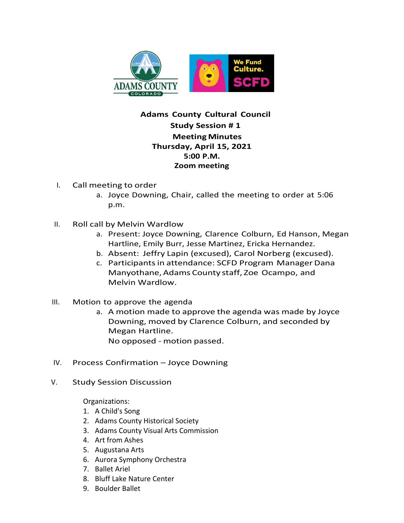

## **Adams County Cultural Council Study Session # 1 MeetingMinutes Thursday, April 15, 2021 5:00 P.M. Zoom meeting**

- I. Call meeting to order
	- a. Joyce Downing, Chair, called the meeting to order at 5:06 p.m.
- II. Roll call by Melvin Wardlow
	- a. Present: Joyce Downing, Clarence Colburn, Ed Hanson, Megan Hartline, Emily Burr, Jesse Martinez, Ericka Hernandez.
	- b. Absent: Jeffry Lapin (excused), Carol Norberg (excused).
	- c. Participants in attendance: SCFD Program Manager Dana Manyothane, Adams County staff, Zoe Ocampo, and Melvin Wardlow.
- III. Motion to approve the agenda
	- a. A motion made to approve the agenda was made by Joyce Downing, moved by Clarence Colburn, and seconded by Megan Hartline. No opposed - motion passed.
- IV. Process Confirmation Joyce Downing
- V. Study Session Discussion

Organizations:

- 1. A Child's Song
- 2. Adams County Historical Society
- 3. Adams County Visual Arts Commission
- 4. Art from Ashes
- 5. Augustana Arts
- 6. Aurora Symphony Orchestra
- 7. Ballet Ariel
- 8. Bluff Lake Nature Center
- 9. Boulder Ballet